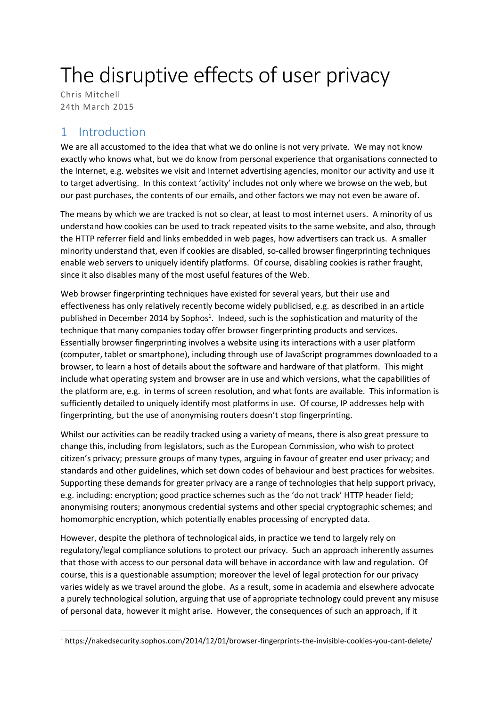# The disruptive effects of user privacy

Chris Mitchell 24th March 2015

## 1 Introduction

**.** 

We are all accustomed to the idea that what we do online is not very private. We may not know exactly who knows what, but we do know from personal experience that organisations connected to the Internet, e.g. websites we visit and Internet advertising agencies, monitor our activity and use it to target advertising. In this context 'activity' includes not only where we browse on the web, but our past purchases, the contents of our emails, and other factors we may not even be aware of.

The means by which we are tracked is not so clear, at least to most internet users. A minority of us understand how cookies can be used to track repeated visits to the same website, and also, through the HTTP referrer field and links embedded in web pages, how advertisers can track us. A smaller minority understand that, even if cookies are disabled, so-called browser fingerprinting techniques enable web servers to uniquely identify platforms. Of course, disabling cookies is rather fraught, since it also disables many of the most useful features of the Web.

Web browser fingerprinting techniques have existed for several years, but their use and effectiveness has only relatively recently become widely publicised, e.g. as described in an article published in December 2014 by Sophos<sup>1</sup>. Indeed, such is the sophistication and maturity of the technique that many companies today offer browser fingerprinting products and services. Essentially browser fingerprinting involves a website using its interactions with a user platform (computer, tablet or smartphone), including through use of JavaScript programmes downloaded to a browser, to learn a host of details about the software and hardware of that platform. This might include what operating system and browser are in use and which versions, what the capabilities of the platform are, e.g. in terms of screen resolution, and what fonts are available. This information is sufficiently detailed to uniquely identify most platforms in use. Of course, IP addresses help with fingerprinting, but the use of anonymising routers doesn't stop fingerprinting.

Whilst our activities can be readily tracked using a variety of means, there is also great pressure to change this, including from legislators, such as the European Commission, who wish to protect citizen's privacy; pressure groups of many types, arguing in favour of greater end user privacy; and standards and other guidelines, which set down codes of behaviour and best practices for websites. Supporting these demands for greater privacy are a range of technologies that help support privacy, e.g. including: encryption; good practice schemes such as the 'do not track' HTTP header field; anonymising routers; anonymous credential systems and other special cryptographic schemes; and homomorphic encryption, which potentially enables processing of encrypted data.

However, despite the plethora of technological aids, in practice we tend to largely rely on regulatory/legal compliance solutions to protect our privacy. Such an approach inherently assumes that those with access to our personal data will behave in accordance with law and regulation. Of course, this is a questionable assumption; moreover the level of legal protection for our privacy varies widely as we travel around the globe. As a result, some in academia and elsewhere advocate a purely technological solution, arguing that use of appropriate technology could prevent any misuse of personal data, however it might arise. However, the consequences of such an approach, if it

<sup>1</sup> https://nakedsecurity.sophos.com/2014/12/01/browser-fingerprints-the-invisible-cookies-you-cant-delete/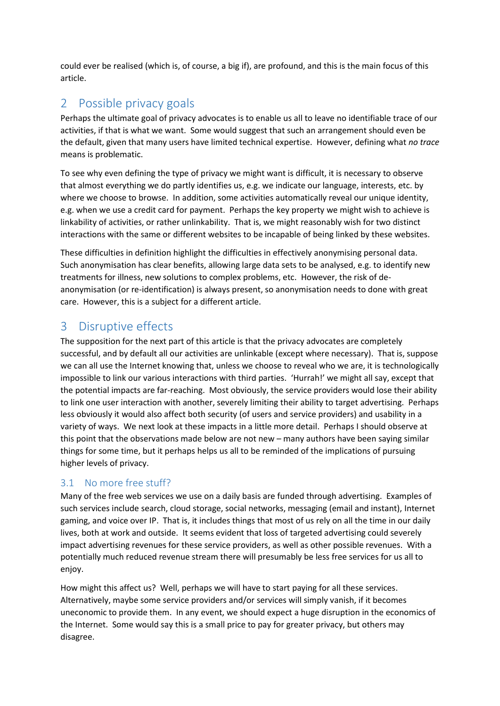could ever be realised (which is, of course, a big if), are profound, and this is the main focus of this article.

## 2 Possible privacy goals

Perhaps the ultimate goal of privacy advocates is to enable us all to leave no identifiable trace of our activities, if that is what we want. Some would suggest that such an arrangement should even be the default, given that many users have limited technical expertise. However, defining what *no trace* means is problematic.

To see why even defining the type of privacy we might want is difficult, it is necessary to observe that almost everything we do partly identifies us, e.g. we indicate our language, interests, etc. by where we choose to browse. In addition, some activities automatically reveal our unique identity, e.g. when we use a credit card for payment. Perhaps the key property we might wish to achieve is linkability of activities, or rather unlinkability. That is, we might reasonably wish for two distinct interactions with the same or different websites to be incapable of being linked by these websites.

These difficulties in definition highlight the difficulties in effectively anonymising personal data. Such anonymisation has clear benefits, allowing large data sets to be analysed, e.g. to identify new treatments for illness, new solutions to complex problems, etc. However, the risk of deanonymisation (or re-identification) is always present, so anonymisation needs to done with great care. However, this is a subject for a different article.

## 3 Disruptive effects

The supposition for the next part of this article is that the privacy advocates are completely successful, and by default all our activities are unlinkable (except where necessary). That is, suppose we can all use the Internet knowing that, unless we choose to reveal who we are, it is technologically impossible to link our various interactions with third parties. 'Hurrah!' we might all say, except that the potential impacts are far-reaching. Most obviously, the service providers would lose their ability to link one user interaction with another, severely limiting their ability to target advertising. Perhaps less obviously it would also affect both security (of users and service providers) and usability in a variety of ways. We next look at these impacts in a little more detail. Perhaps I should observe at this point that the observations made below are not new – many authors have been saying similar things for some time, but it perhaps helps us all to be reminded of the implications of pursuing higher levels of privacy.

### 3.1 No more free stuff?

Many of the free web services we use on a daily basis are funded through advertising. Examples of such services include search, cloud storage, social networks, messaging (email and instant), Internet gaming, and voice over IP. That is, it includes things that most of us rely on all the time in our daily lives, both at work and outside. It seems evident that loss of targeted advertising could severely impact advertising revenues for these service providers, as well as other possible revenues. With a potentially much reduced revenue stream there will presumably be less free services for us all to enjoy.

How might this affect us? Well, perhaps we will have to start paying for all these services. Alternatively, maybe some service providers and/or services will simply vanish, if it becomes uneconomic to provide them. In any event, we should expect a huge disruption in the economics of the Internet. Some would say this is a small price to pay for greater privacy, but others may disagree.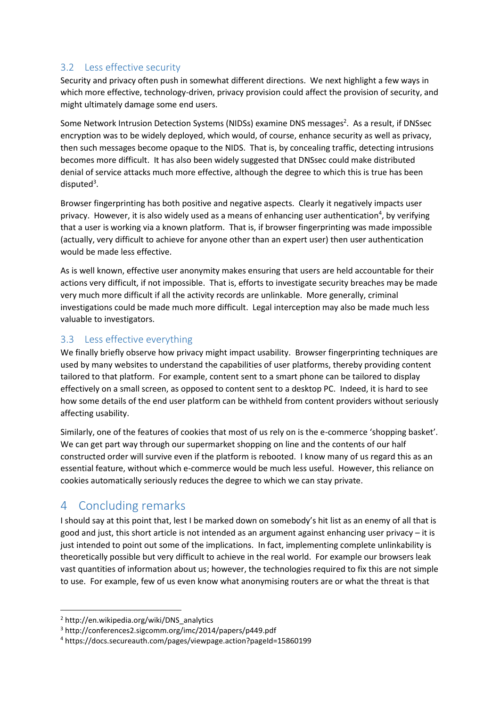#### 3.2 Less effective security

Security and privacy often push in somewhat different directions. We next highlight a few ways in which more effective, technology-driven, privacy provision could affect the provision of security, and might ultimately damage some end users.

Some Network Intrusion Detection Systems (NIDSs) examine DNS messages<sup>2</sup>. As a result, if DNSsec encryption was to be widely deployed, which would, of course, enhance security as well as privacy, then such messages become opaque to the NIDS. That is, by concealing traffic, detecting intrusions becomes more difficult. It has also been widely suggested that DNSsec could make distributed denial of service attacks much more effective, although the degree to which this is true has been disputed<sup>3</sup>.

Browser fingerprinting has both positive and negative aspects. Clearly it negatively impacts user privacy. However, it is also widely used as a means of enhancing user authentication<sup>4</sup>, by verifying that a user is working via a known platform. That is, if browser fingerprinting was made impossible (actually, very difficult to achieve for anyone other than an expert user) then user authentication would be made less effective.

As is well known, effective user anonymity makes ensuring that users are held accountable for their actions very difficult, if not impossible. That is, efforts to investigate security breaches may be made very much more difficult if all the activity records are unlinkable. More generally, criminal investigations could be made much more difficult. Legal interception may also be made much less valuable to investigators.

#### 3.3 Less effective everything

We finally briefly observe how privacy might impact usability. Browser fingerprinting techniques are used by many websites to understand the capabilities of user platforms, thereby providing content tailored to that platform. For example, content sent to a smart phone can be tailored to display effectively on a small screen, as opposed to content sent to a desktop PC. Indeed, it is hard to see how some details of the end user platform can be withheld from content providers without seriously affecting usability.

Similarly, one of the features of cookies that most of us rely on is the e-commerce 'shopping basket'. We can get part way through our supermarket shopping on line and the contents of our half constructed order will survive even if the platform is rebooted. I know many of us regard this as an essential feature, without which e-commerce would be much less useful. However, this reliance on cookies automatically seriously reduces the degree to which we can stay private.

## 4 Concluding remarks

I should say at this point that, lest I be marked down on somebody's hit list as an enemy of all that is good and just, this short article is not intended as an argument against enhancing user privacy – it is just intended to point out some of the implications. In fact, implementing complete unlinkability is theoretically possible but very difficult to achieve in the real world. For example our browsers leak vast quantities of information about us; however, the technologies required to fix this are not simple to use. For example, few of us even know what anonymising routers are or what the threat is that

**.** 

<sup>2</sup> http://en.wikipedia.org/wiki/DNS\_analytics

<sup>3</sup> http://conferences2.sigcomm.org/imc/2014/papers/p449.pdf

<sup>4</sup> https://docs.secureauth.com/pages/viewpage.action?pageId=15860199